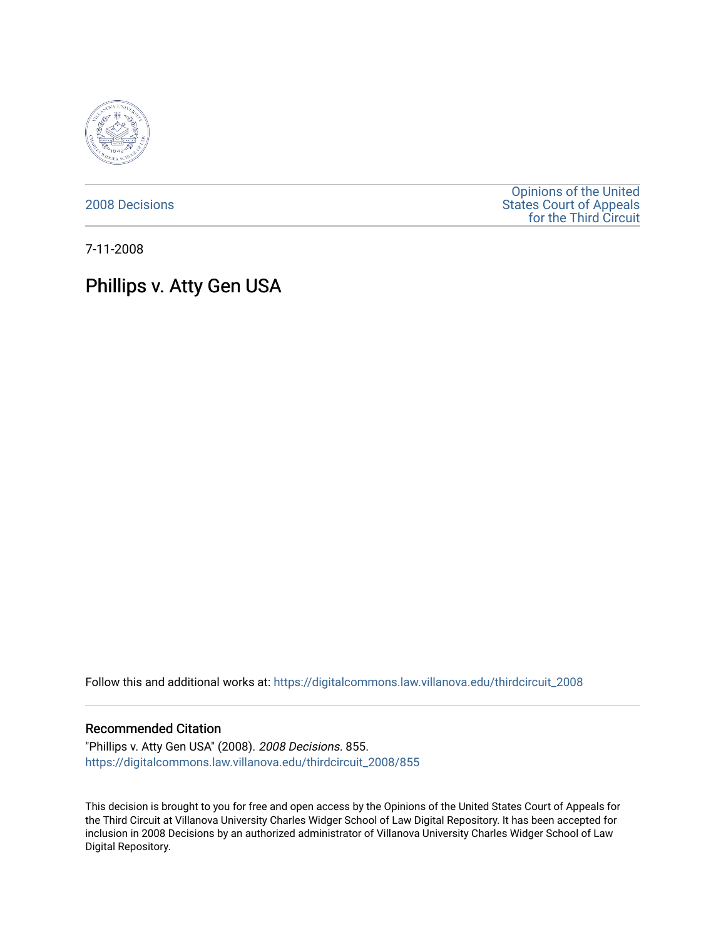

[2008 Decisions](https://digitalcommons.law.villanova.edu/thirdcircuit_2008)

[Opinions of the United](https://digitalcommons.law.villanova.edu/thirdcircuit)  [States Court of Appeals](https://digitalcommons.law.villanova.edu/thirdcircuit)  [for the Third Circuit](https://digitalcommons.law.villanova.edu/thirdcircuit) 

7-11-2008

# Phillips v. Atty Gen USA

Follow this and additional works at: [https://digitalcommons.law.villanova.edu/thirdcircuit\\_2008](https://digitalcommons.law.villanova.edu/thirdcircuit_2008?utm_source=digitalcommons.law.villanova.edu%2Fthirdcircuit_2008%2F855&utm_medium=PDF&utm_campaign=PDFCoverPages) 

#### Recommended Citation

"Phillips v. Atty Gen USA" (2008). 2008 Decisions. 855. [https://digitalcommons.law.villanova.edu/thirdcircuit\\_2008/855](https://digitalcommons.law.villanova.edu/thirdcircuit_2008/855?utm_source=digitalcommons.law.villanova.edu%2Fthirdcircuit_2008%2F855&utm_medium=PDF&utm_campaign=PDFCoverPages)

This decision is brought to you for free and open access by the Opinions of the United States Court of Appeals for the Third Circuit at Villanova University Charles Widger School of Law Digital Repository. It has been accepted for inclusion in 2008 Decisions by an authorized administrator of Villanova University Charles Widger School of Law Digital Repository.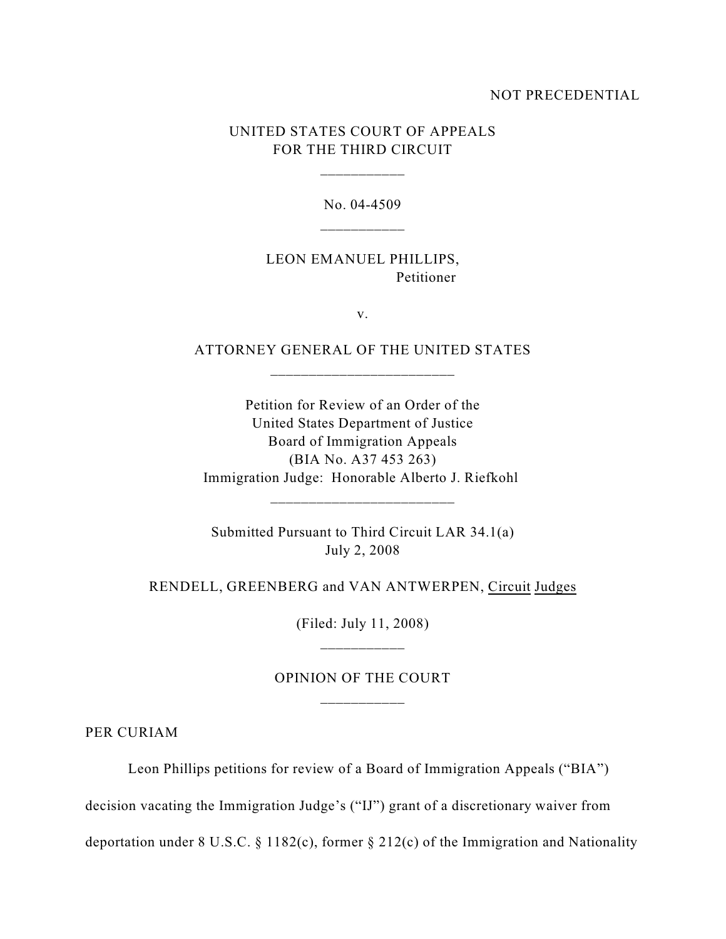#### NOT PRECEDENTIAL

### UNITED STATES COURT OF APPEALS FOR THE THIRD CIRCUIT

\_\_\_\_\_\_\_\_\_\_\_

No. 04-4509

LEON EMANUEL PHILLIPS, Petitioner

v.

ATTORNEY GENERAL OF THE UNITED STATES

Petition for Review of an Order of the United States Department of Justice Board of Immigration Appeals (BIA No. A37 453 263) Immigration Judge: Honorable Alberto J. Riefkohl

Submitted Pursuant to Third Circuit LAR 34.1(a) July 2, 2008

\_\_\_\_\_\_\_\_\_\_\_\_\_\_\_\_\_\_\_\_\_\_\_\_

RENDELL, GREENBERG and VAN ANTWERPEN, Circuit Judges

(Filed: July 11, 2008) \_\_\_\_\_\_\_\_\_\_\_

## OPINION OF THE COURT \_\_\_\_\_\_\_\_\_\_\_

PER CURIAM

Leon Phillips petitions for review of a Board of Immigration Appeals ("BIA")

decision vacating the Immigration Judge's ("IJ") grant of a discretionary waiver from

deportation under 8 U.S.C. § 1182(c), former § 212(c) of the Immigration and Nationality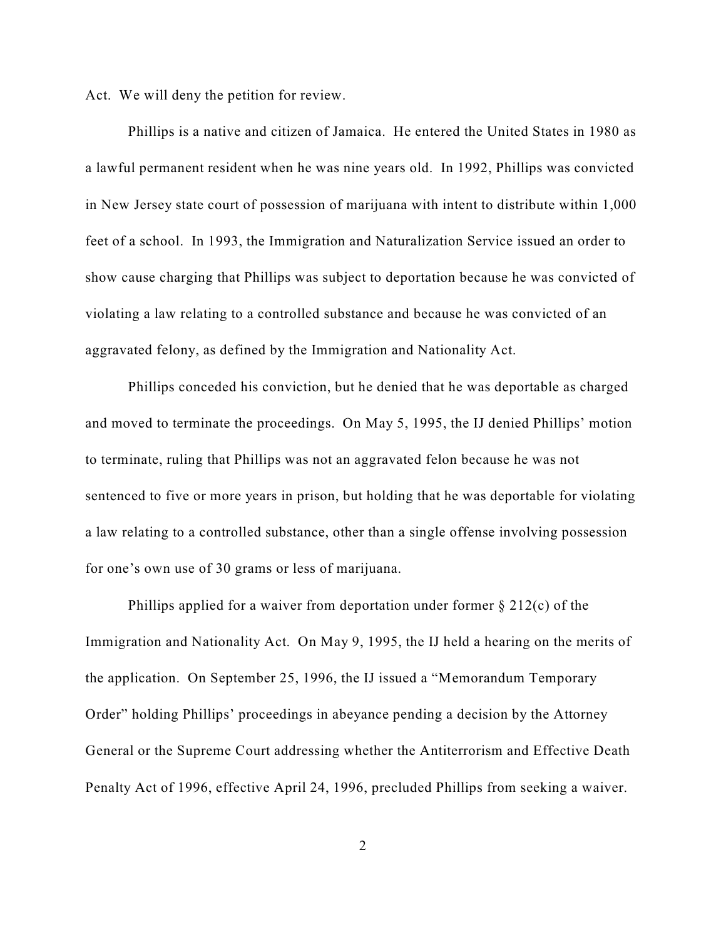Act. We will deny the petition for review.

Phillips is a native and citizen of Jamaica. He entered the United States in 1980 as a lawful permanent resident when he was nine years old. In 1992, Phillips was convicted in New Jersey state court of possession of marijuana with intent to distribute within 1,000 feet of a school. In 1993, the Immigration and Naturalization Service issued an order to show cause charging that Phillips was subject to deportation because he was convicted of violating a law relating to a controlled substance and because he was convicted of an aggravated felony, as defined by the Immigration and Nationality Act.

Phillips conceded his conviction, but he denied that he was deportable as charged and moved to terminate the proceedings. On May 5, 1995, the IJ denied Phillips' motion to terminate, ruling that Phillips was not an aggravated felon because he was not sentenced to five or more years in prison, but holding that he was deportable for violating a law relating to a controlled substance, other than a single offense involving possession for one's own use of 30 grams or less of marijuana.

Phillips applied for a waiver from deportation under former  $\S 212(c)$  of the Immigration and Nationality Act. On May 9, 1995, the IJ held a hearing on the merits of the application. On September 25, 1996, the IJ issued a "Memorandum Temporary Order" holding Phillips' proceedings in abeyance pending a decision by the Attorney General or the Supreme Court addressing whether the Antiterrorism and Effective Death Penalty Act of 1996, effective April 24, 1996, precluded Phillips from seeking a waiver.

2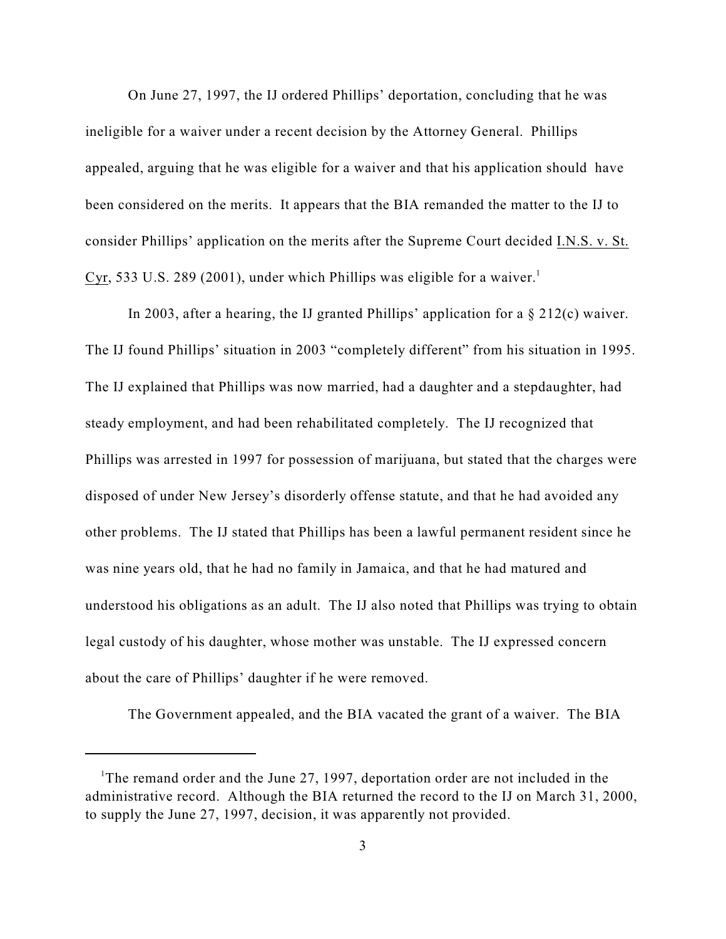On June 27, 1997, the IJ ordered Phillips' deportation, concluding that he was ineligible for a waiver under a recent decision by the Attorney General. Phillips appealed, arguing that he was eligible for a waiver and that his application should have been considered on the merits. It appears that the BIA remanded the matter to the IJ to consider Phillips' application on the merits after the Supreme Court decided I.N.S. v. St. Cyr, 533 U.S. 289 (2001), under which Phillips was eligible for a waiver.<sup>1</sup>

In 2003, after a hearing, the IJ granted Phillips' application for a  $\S 212(c)$  waiver. The IJ found Phillips' situation in 2003 "completely different" from his situation in 1995. The IJ explained that Phillips was now married, had a daughter and a stepdaughter, had steady employment, and had been rehabilitated completely. The IJ recognized that Phillips was arrested in 1997 for possession of marijuana, but stated that the charges were disposed of under New Jersey's disorderly offense statute, and that he had avoided any other problems. The IJ stated that Phillips has been a lawful permanent resident since he was nine years old, that he had no family in Jamaica, and that he had matured and understood his obligations as an adult. The IJ also noted that Phillips was trying to obtain legal custody of his daughter, whose mother was unstable. The IJ expressed concern about the care of Phillips' daughter if he were removed.

The Government appealed, and the BIA vacated the grant of a waiver. The BIA

The remand order and the June 27, 1997, deportation order are not included in the administrative record. Although the BIA returned the record to the IJ on March 31, 2000, to supply the June 27, 1997, decision, it was apparently not provided.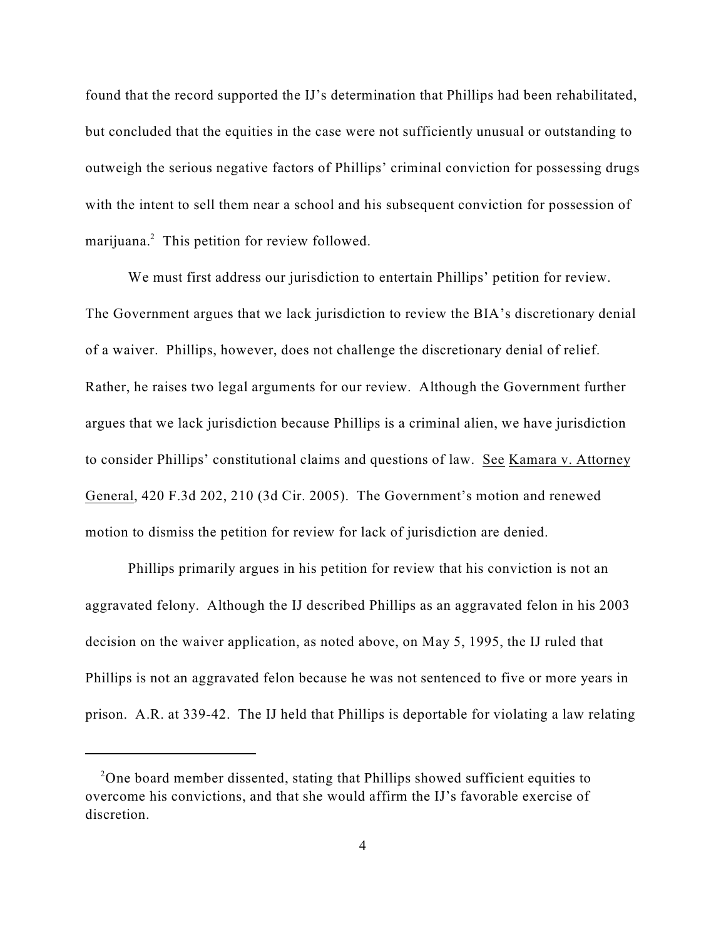found that the record supported the IJ's determination that Phillips had been rehabilitated, but concluded that the equities in the case were not sufficiently unusual or outstanding to outweigh the serious negative factors of Phillips' criminal conviction for possessing drugs with the intent to sell them near a school and his subsequent conviction for possession of marijuana.<sup>2</sup> This petition for review followed.

We must first address our jurisdiction to entertain Phillips' petition for review. The Government argues that we lack jurisdiction to review the BIA's discretionary denial of a waiver. Phillips, however, does not challenge the discretionary denial of relief. Rather, he raises two legal arguments for our review. Although the Government further argues that we lack jurisdiction because Phillips is a criminal alien, we have jurisdiction to consider Phillips' constitutional claims and questions of law. See Kamara v. Attorney General, 420 F.3d 202, 210 (3d Cir. 2005). The Government's motion and renewed motion to dismiss the petition for review for lack of jurisdiction are denied.

Phillips primarily argues in his petition for review that his conviction is not an aggravated felony. Although the IJ described Phillips as an aggravated felon in his 2003 decision on the waiver application, as noted above, on May 5, 1995, the IJ ruled that Phillips is not an aggravated felon because he was not sentenced to five or more years in prison. A.R. at 339-42. The IJ held that Phillips is deportable for violating a law relating

<sup>&</sup>lt;sup>2</sup>One board member dissented, stating that Phillips showed sufficient equities to overcome his convictions, and that she would affirm the IJ's favorable exercise of discretion.